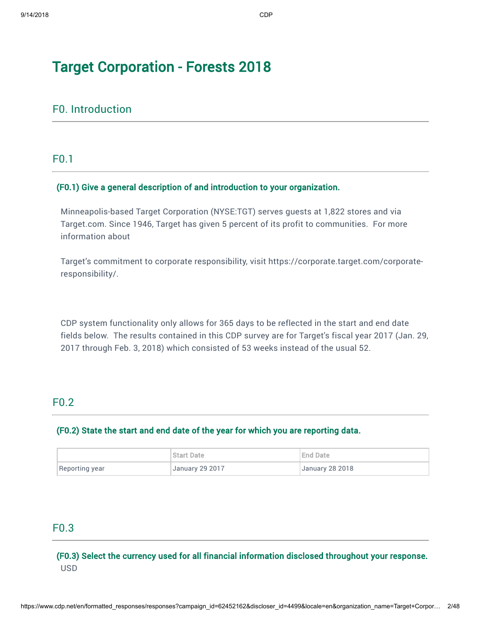## F0. Introduction

F0.1

## (F0.1) Give a general description of and introduction to your organization.

Minneapolis-based Target Corporation (NYSE:TGT) serves guests at 1,822 stores and via Target.com. Since 1946, Target has given 5 percent of its profit to communities. For more information about

[Target's commitment to corporate responsibility, visit https://corporate.target.com/corporate](https://corporate.target.com/corporate-responsibility/)responsibility/.

CDP system functionality only allows for 365 days to be reflected in the start and end date fields below. The results contained in this CDP survey are for Target's fiscal year 2017 (Jan. 29, 2017 through Feb. 3, 2018) which consisted of 53 weeks instead of the usual 52.

## F0.2

### (F0.2) State the start and end date of the year for which you are reporting data.

|                | <b>Start Date</b>      | End Date               |
|----------------|------------------------|------------------------|
| Reporting year | <b>January 29 2017</b> | <b>January 28 2018</b> |

## F0.3

(F0.3) Select the currency used for all financial information disclosed throughout your response. USD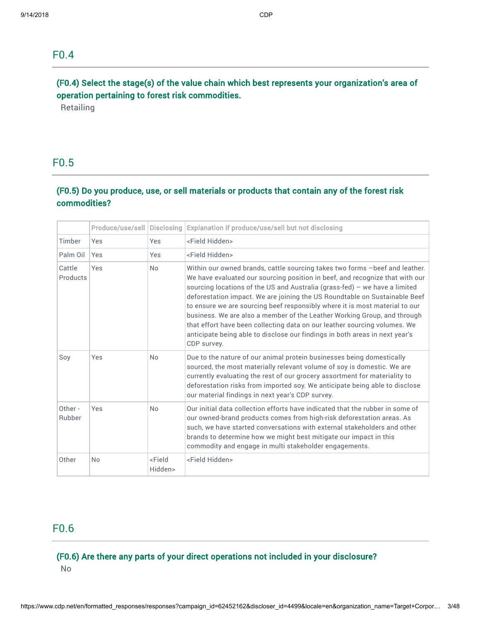## F0.4

## (F0.4) Select the stage(s) of the value chain which best represents your organization's area of operation pertaining to forest risk commodities.

**Retailing** 

## F0.5

## (F0.5) Do you produce, use, or sell materials or products that contain any of the forest risk commodities?

|                    | Produce/use/sell | <b>Disclosing</b>               | Explanation if produce/use/sell but not disclosing                                                                                                                                                                                                                                                                                                                                                                                                                                                                                                                                                                                                            |  |  |
|--------------------|------------------|---------------------------------|---------------------------------------------------------------------------------------------------------------------------------------------------------------------------------------------------------------------------------------------------------------------------------------------------------------------------------------------------------------------------------------------------------------------------------------------------------------------------------------------------------------------------------------------------------------------------------------------------------------------------------------------------------------|--|--|
| Timber             | Yes              | <b>Yes</b>                      | <field hidden=""></field>                                                                                                                                                                                                                                                                                                                                                                                                                                                                                                                                                                                                                                     |  |  |
| Palm Oil           | Yes              | Yes                             | <field hidden=""></field>                                                                                                                                                                                                                                                                                                                                                                                                                                                                                                                                                                                                                                     |  |  |
| Cattle<br>Products | Yes              | <b>No</b>                       | Within our owned brands, cattle sourcing takes two forms -beef and leather.<br>We have evaluated our sourcing position in beef, and recognize that with our<br>sourcing locations of the US and Australia (grass-fed) - we have a limited<br>deforestation impact. We are joining the US Roundtable on Sustainable Beef<br>to ensure we are sourcing beef responsibly where it is most material to our<br>business. We are also a member of the Leather Working Group, and through<br>that effort have been collecting data on our leather sourcing volumes. We<br>anticipate being able to disclose our findings in both areas in next year's<br>CDP survey. |  |  |
| Soy                | Yes              | <b>No</b>                       | Due to the nature of our animal protein businesses being domestically<br>sourced, the most materially relevant volume of soy is domestic. We are<br>currently evaluating the rest of our grocery assortment for materiality to<br>deforestation risks from imported soy. We anticipate being able to disclose<br>our material findings in next year's CDP survey.                                                                                                                                                                                                                                                                                             |  |  |
| Other -<br>Rubber  | Yes              | <b>No</b>                       | Our initial data collection efforts have indicated that the rubber in some of<br>our owned-brand products comes from high-risk deforestation areas. As<br>such, we have started conversations with external stakeholders and other<br>brands to determine how we might best mitigate our impact in this<br>commodity and engage in multi stakeholder engagements.                                                                                                                                                                                                                                                                                             |  |  |
| Other              | <b>No</b>        | <field<br>Hidden&gt;</field<br> | <field hidden=""></field>                                                                                                                                                                                                                                                                                                                                                                                                                                                                                                                                                                                                                                     |  |  |

## F0.6

# (F0.6) Are there any parts of your direct operations not included in your disclosure?

No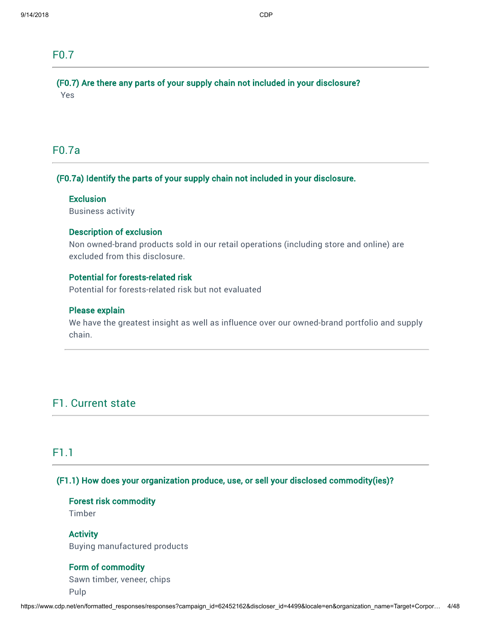## F0.7

(F0.7) Are there any parts of your supply chain not included in your disclosure? Yes

## F0.7a

## (F0.7a) Identify the parts of your supply chain not included in your disclosure.

## **Exclusion**

Business activity

### Description of exclusion

Non owned-brand products sold in our retail operations (including store and online) are excluded from this disclosure.

## Potential for forests-related risk

Potential for forests-related risk but not evaluated

### Please explain

We have the greatest insight as well as influence over our owned-brand portfolio and supply chain.

## F1. Current state

## F1.1

## (F1.1) How does your organization produce, use, or sell your disclosed commodity(ies)?

Forest risk commodity

Timber

**Activity** Buying manufactured products

## Form of commodity

Sawn timber, veneer, chips Pulp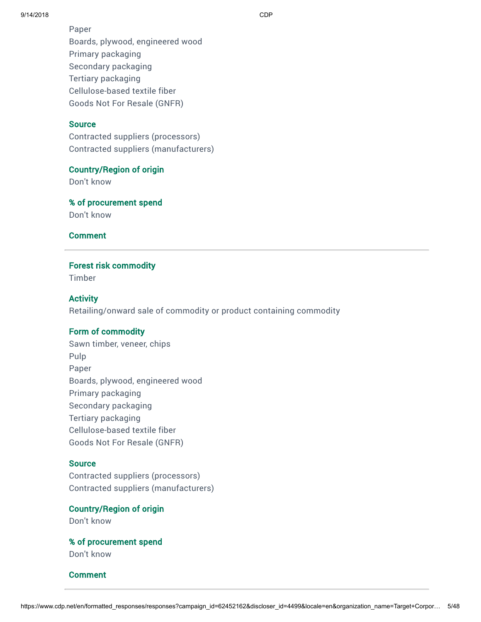9/14/2018 CDP

Paper Boards, plywood, engineered wood Primary packaging Secondary packaging Tertiary packaging Cellulose-based textile fiber Goods Not For Resale (GNFR)

### **Source**

Contracted suppliers (processors) Contracted suppliers (manufacturers)

### Country/Region of origin

Don't know

% of procurement spend Don't know

Comment

### Forest risk commodity

Timber

## **Activity**

Retailing/onward sale of commodity or product containing commodity

### Form of commodity

Sawn timber, veneer, chips Pulp Paper Boards, plywood, engineered wood Primary packaging Secondary packaging Tertiary packaging Cellulose-based textile fiber Goods Not For Resale (GNFR)

### **Source**

Contracted suppliers (processors) Contracted suppliers (manufacturers)

Country/Region of origin

Don't know

% of procurement spend Don't know

### **Comment**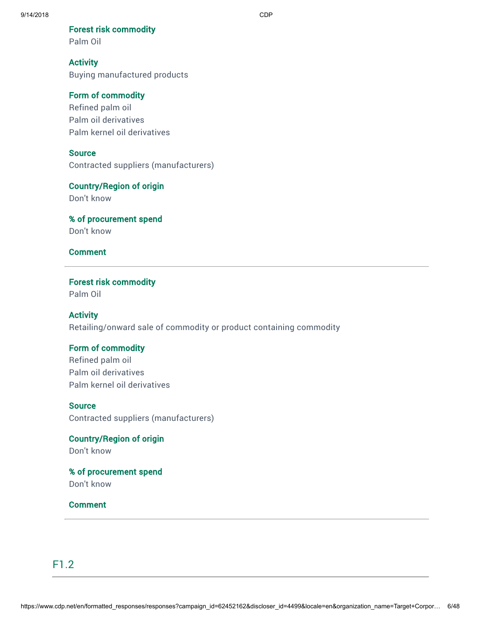Forest risk commodity

Palm Oil

## **Activity**

Buying manufactured products

## Form of commodity

Refined palm oil Palm oil derivatives Palm kernel oil derivatives

## **Source**

Contracted suppliers (manufacturers)

## Country/Region of origin

Don't know

% of procurement spend Don't know

## Comment

# Forest risk commodity

Palm Oil

## **Activity**

Retailing/onward sale of commodity or product containing commodity

## Form of commodity

Refined palm oil Palm oil derivatives Palm kernel oil derivatives

### **Source**

Contracted suppliers (manufacturers)

# Country/Region of origin

Don't know

## % of procurement spend Don't know

## Comment

## F1.2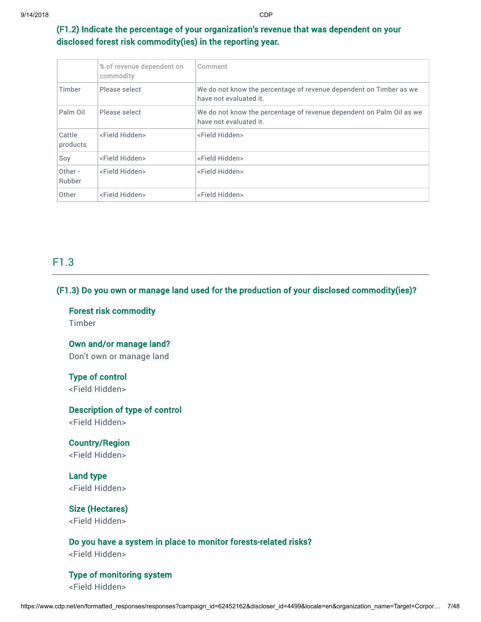## (F1.2) Indicate the percentage of your organization's revenue that was dependent on your disclosed forest risk commodity(ies) in the reporting year.

|                    | % of revenue dependent on<br>commodity | Comment                                                                                        |
|--------------------|----------------------------------------|------------------------------------------------------------------------------------------------|
| Timber             | Please select                          | We do not know the percentage of revenue dependent on Timber as we<br>have not evaluated it.   |
| Palm Oil           | Please select                          | We do not know the percentage of revenue dependent on Palm Oil as we<br>have not evaluated it. |
| Cattle<br>products | <field hidden=""></field>              | <field hidden=""></field>                                                                      |
| Soy                | <field hidden=""></field>              | <field hidden=""></field>                                                                      |
| Other -<br>Rubber  | <field hidden=""></field>              | <field hidden=""></field>                                                                      |
| Other              | <field hidden=""></field>              | <field hidden=""></field>                                                                      |

## F1.3

## (F1.3) Do you own or manage land used for the production of your disclosed commodity(ies)?

Forest risk commodity Timber

Own and/or manage land? Don't own or manage land

Type of control <Field Hidden>

Description of type of control

<Field Hidden>

Country/Region <Field Hidden>

Land type <Field Hidden>

Size (Hectares) <Field Hidden>

Do you have a system in place to monitor forests-related risks? <Field Hidden>

Type of monitoring system

<Field Hidden>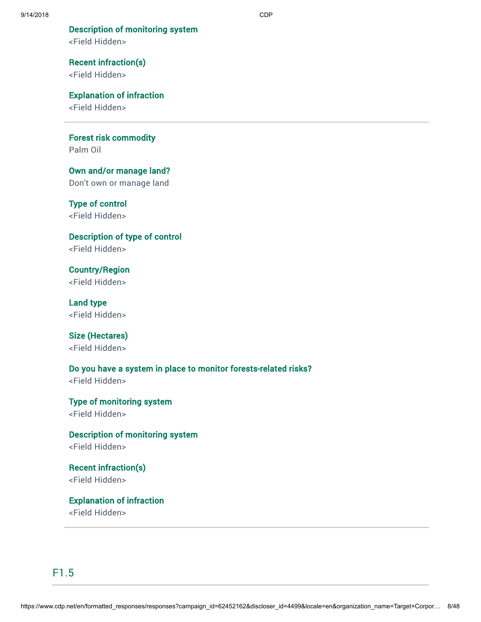# Description of monitoring system

<Field Hidden>

Recent infraction(s) <Field Hidden>

Explanation of infraction

<Field Hidden>

Forest risk commodity Palm Oil

Own and/or manage land? Don't own or manage land

Type of control <Field Hidden>

Description of type of control <Field Hidden>

Country/Region <Field Hidden>

Land type <Field Hidden>

Size (Hectares) <Field Hidden>

Do you have a system in place to monitor forests-related risks?

<Field Hidden>

Type of monitoring system <Field Hidden>

Description of monitoring system <Field Hidden>

Recent infraction(s) <Field Hidden>

Explanation of infraction <Field Hidden>

F1.5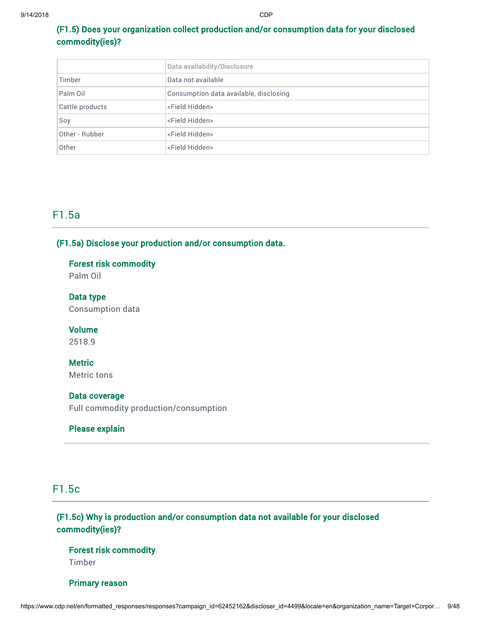## (F1.5) Does your organization collect production and/or consumption data for your disclosed commodity(ies)?

|                 | Data availability/Disclosure           |  |  |  |
|-----------------|----------------------------------------|--|--|--|
| Timber          | Data not available                     |  |  |  |
| Palm Oil        | Consumption data available, disclosing |  |  |  |
| Cattle products | <field hidden=""></field>              |  |  |  |
| Soy             | <field hidden=""></field>              |  |  |  |
| Other - Rubber  | <field hidden=""></field>              |  |  |  |
| Other           | <field hidden=""></field>              |  |  |  |

## F1.5a

## (F1.5a) Disclose your production and/or consumption data.

## Forest risk commodity

Palm Oil

Data type Consumption data

Volume 2518.9

## **Metric**

Metric tons

### Data coverage

Full commodity production/consumption

## Please explain

## F1.5c

## (F1.5c) Why is production and/or consumption data not available for your disclosed commodity(ies)?

Forest risk commodity Timber

Primary reason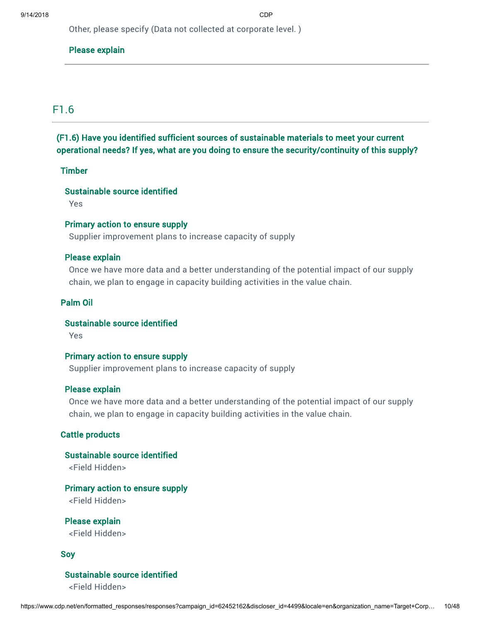Other, please specify (Data not collected at corporate level. )

## Please explain

## F1.6

## (F1.6) Have you identified sufficient sources of sustainable materials to meet your current operational needs? If yes, what are you doing to ensure the security/continuity of this supply?

### **Timber**

## Sustainable source identified

Yes

### Primary action to ensure supply

Supplier improvement plans to increase capacity of supply

### Please explain

Once we have more data and a better understanding of the potential impact of our supply chain, we plan to engage in capacity building activities in the value chain.

## Palm Oil

## Sustainable source identified

Yes

## Primary action to ensure supply

Supplier improvement plans to increase capacity of supply

### Please explain

Once we have more data and a better understanding of the potential impact of our supply chain, we plan to engage in capacity building activities in the value chain.

## Cattle products

## Sustainable source identified

<Field Hidden>

## Primary action to ensure supply

<Field Hidden>

Please explain <Field Hidden>

### Soy

## Sustainable source identified

<Field Hidden>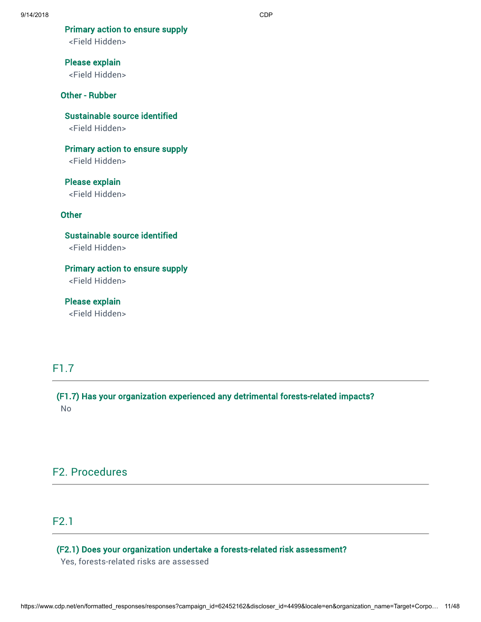Primary action to ensure supply

<Field Hidden>

Please explain <Field Hidden>

### Other - Rubber

Sustainable source identified <Field Hidden>

Primary action to ensure supply <Field Hidden>

Please explain <Field Hidden>

### **Other**

Sustainable source identified <Field Hidden>

Primary action to ensure supply <Field Hidden>

Please explain <Field Hidden>

## F1.7

(F1.7) Has your organization experienced any detrimental forests-related impacts? No

## F2. Procedures

## F2.1

## (F2.1) Does your organization undertake a forests-related risk assessment?

Yes, forests-related risks are assessed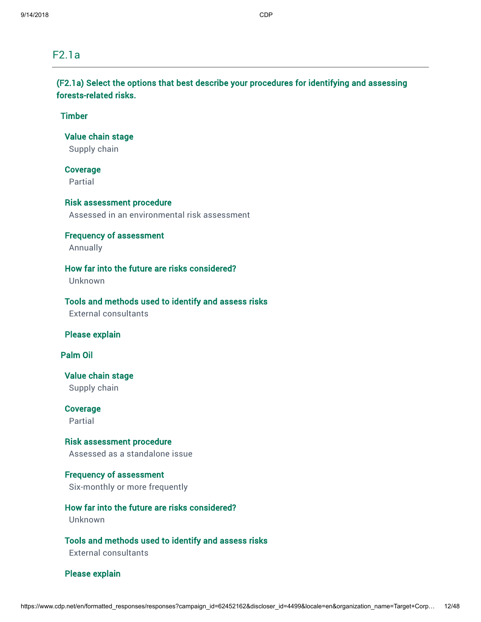## F2.1a

(F2.1a) Select the options that best describe your procedures for identifying and assessing forests-related risks.

## Timber

Value chain stage

Supply chain

## Coverage

Partial

## Risk assessment procedure

Assessed in an environmental risk assessment

### Frequency of assessment

Annually

## How far into the future are risks considered?

Unknown

### Tools and methods used to identify and assess risks

External consultants

## Please explain

Palm Oil

## Value chain stage Supply chain

Coverage Partial

## Risk assessment procedure

Assessed as a standalone issue

## Frequency of assessment Six-monthly or more frequently

# How far into the future are risks considered?

Unknown

## Tools and methods used to identify and assess risks

External consultants

### Please explain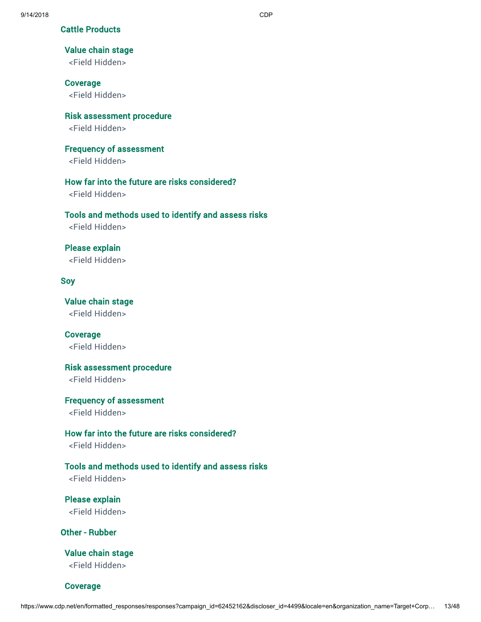Cattle Products

### Value chain stage

<Field Hidden>

### Coverage

<Field Hidden>

Risk assessment procedure

<Field Hidden>

Frequency of assessment

<Field Hidden>

## How far into the future are risks considered?

<Field Hidden>

### Tools and methods used to identify and assess risks

<Field Hidden>

## Please explain

<Field Hidden>

### Soy

Value chain stage <Field Hidden>

Coverage <Field Hidden>

Risk assessment procedure

<Field Hidden>

### Frequency of assessment

<Field Hidden>

## How far into the future are risks considered?

<Field Hidden>

### Tools and methods used to identify and assess risks

<Field Hidden>

Please explain <Field Hidden>

Other - Rubber

Value chain stage <Field Hidden>

Coverage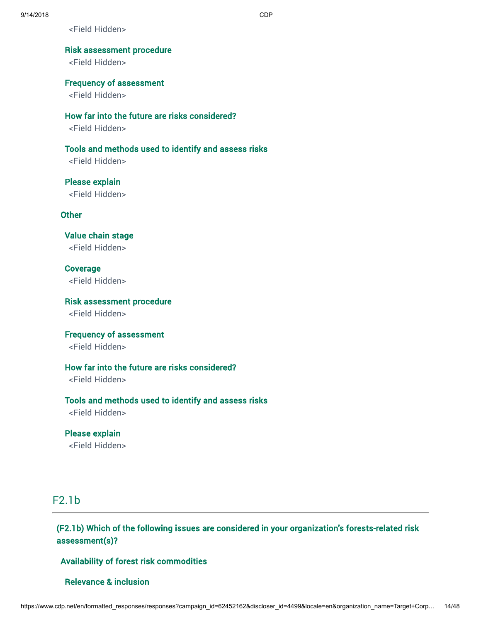<Field Hidden>

## Risk assessment procedure

<Field Hidden>

Frequency of assessment

<Field Hidden>

How far into the future are risks considered?

<Field Hidden>

Tools and methods used to identify and assess risks

<Field Hidden>

Please explain <Field Hidden>

Other

Value chain stage <Field Hidden>

Coverage <Field Hidden>

Risk assessment procedure <Field Hidden>

Frequency of assessment <Field Hidden>

How far into the future are risks considered?

<Field Hidden>

Tools and methods used to identify and assess risks

<Field Hidden>

Please explain <Field Hidden>

## F2.1b

(F2.1b) Which of the following issues are considered in your organization's forests-related risk assessment(s)?

Availability of forest risk commodities

### Relevance & inclusion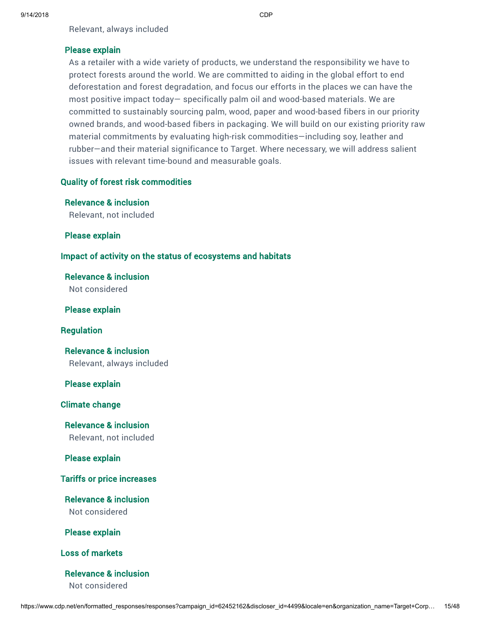Relevant, always included

### Please explain

As a retailer with a wide variety of products, we understand the responsibility we have to protect forests around the world. We are committed to aiding in the global effort to end deforestation and forest degradation, and focus our efforts in the places we can have the most positive impact today— specifically palm oil and wood-based materials. We are committed to sustainably sourcing palm, wood, paper and wood-based fibers in our priority owned brands, and wood-based fibers in packaging. We will build on our existing priority raw material commitments by evaluating high-risk commodities—including soy, leather and rubber—and their material significance to Target. Where necessary, we will address salient issues with relevant time-bound and measurable goals.

## Quality of forest risk commodities

Relevance & inclusion Relevant, not included

Please explain

## Impact of activity on the status of ecosystems and habitats

Relevance & inclusion Not considered

Please explain

Regulation

Relevance & inclusion Relevant, always included

Please explain

Climate change

Relevance & inclusion Relevant, not included

Please explain

Tariffs or price increases

Relevance & inclusion Not considered

Please explain

Loss of markets

Relevance & inclusion

Not considered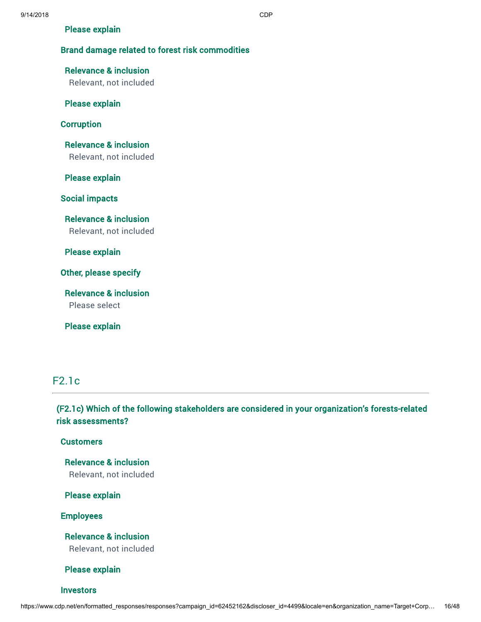### Please explain

## Brand damage related to forest risk commodities

## Relevance & inclusion

Relevant, not included

## Please explain

### **Corruption**

Relevance & inclusion Relevant, not included

Please explain

Social impacts

Relevance & inclusion Relevant, not included

Please explain

Other, please specify

Relevance & inclusion Please select

Please explain

## F2.1c

## (F2.1c) Which of the following stakeholders are considered in your organization's forests-related risk assessments?

### **Customers**

Relevance & inclusion Relevant, not included

Please explain

Employees

Relevance & inclusion Relevant, not included

Please explain

**Investors**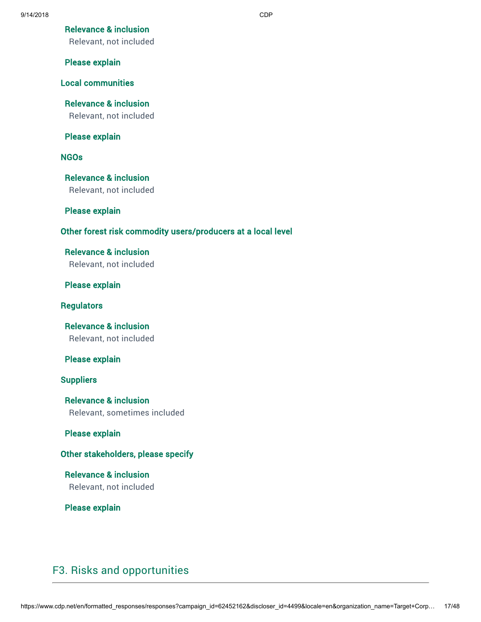## Relevance & inclusion

Relevant, not included

### Please explain

## Local communities

Relevance & inclusion Relevant, not included

## Please explain

## NGOs

Relevance & inclusion

Relevant, not included

### Please explain

## Other forest risk commodity users/producers at a local level

# Relevance & inclusion

Relevant, not included

## Please explain

### **Regulators**

Relevance & inclusion Relevant, not included

## Please explain

### **Suppliers**

Relevance & inclusion Relevant, sometimes included

### Please explain

## Other stakeholders, please specify

Relevance & inclusion Relevant, not included

Please explain

## F3. Risks and opportunities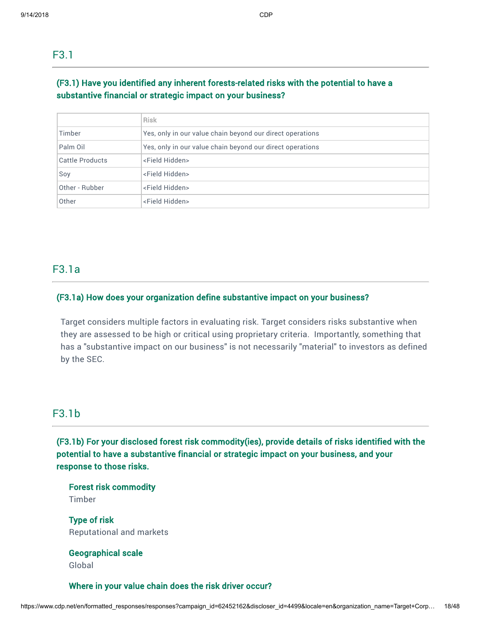## (F3.1) Have you identified any inherent forests-related risks with the potential to have a substantive financial or strategic impact on your business?

|                 | <b>Risk</b>                                               |
|-----------------|-----------------------------------------------------------|
| Timber          | Yes, only in our value chain beyond our direct operations |
| Palm Oil        | Yes, only in our value chain beyond our direct operations |
| Cattle Products | <field hidden=""></field>                                 |
| Soy             | <field hidden=""></field>                                 |
| Other - Rubber  | <field hidden=""></field>                                 |
| Other           | <field hidden=""></field>                                 |

## F3.1a

## (F3.1a) How does your organization define substantive impact on your business?

Target considers multiple factors in evaluating risk. Target considers risks substantive when they are assessed to be high or critical using proprietary criteria. Importantly, something that has a "substantive impact on our business" is not necessarily "material" to investors as defined by the SEC.

## F3.1b

(F3.1b) For your disclosed forest risk commodity(ies), provide details of risks identified with the potential to have a substantive financial or strategic impact on your business, and your response to those risks.

Forest risk commodity Timber

Type of risk Reputational and markets

## Geographical scale Global

## Where in your value chain does the risk driver occur?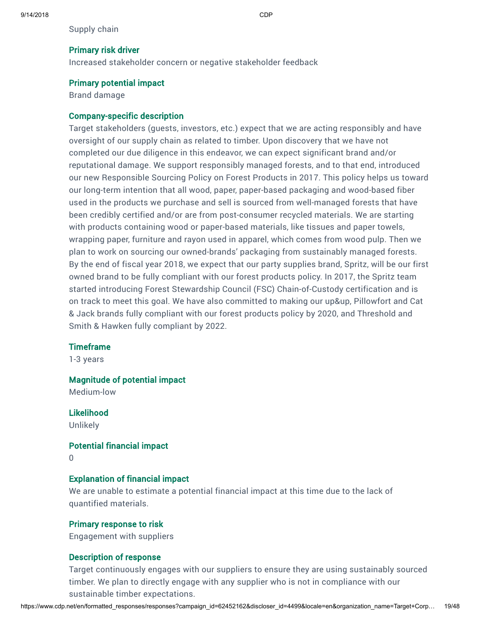Supply chain

### Primary risk driver

Increased stakeholder concern or negative stakeholder feedback

### Primary potential impact

Brand damage

### Company-specific description

Target stakeholders (guests, investors, etc.) expect that we are acting responsibly and have oversight of our supply chain as related to timber. Upon discovery that we have not completed our due diligence in this endeavor, we can expect significant brand and/or reputational damage. We support responsibly managed forests, and to that end, introduced our new Responsible Sourcing Policy on Forest Products in 2017. This policy helps us toward our long-term intention that all wood, paper, paper-based packaging and wood-based fiber used in the products we purchase and sell is sourced from well-managed forests that have been credibly certified and/or are from post-consumer recycled materials. We are starting with products containing wood or paper-based materials, like tissues and paper towels, wrapping paper, furniture and rayon used in apparel, which comes from wood pulp. Then we plan to work on sourcing our owned-brands' packaging from sustainably managed forests. By the end of fiscal year 2018, we expect that our party supplies brand, Spritz, will be our first owned brand to be fully compliant with our forest products policy. In 2017, the Spritz team started introducing Forest Stewardship Council (FSC) Chain-of-Custody certification and is on track to meet this goal. We have also committed to making our up&up, Pillowfort and Cat & Jack brands fully compliant with our forest products policy by 2020, and Threshold and Smith & Hawken fully compliant by 2022.

### **Timeframe**

1-3 years

### Magnitude of potential impact

Medium-low

Likelihood Unlikely

### Potential financial impact

0

## Explanation of financial impact

We are unable to estimate a potential financial impact at this time due to the lack of quantified materials.

### Primary response to risk

Engagement with suppliers

## Description of response

Target continuously engages with our suppliers to ensure they are using sustainably sourced timber. We plan to directly engage with any supplier who is not in compliance with our sustainable timber expectations.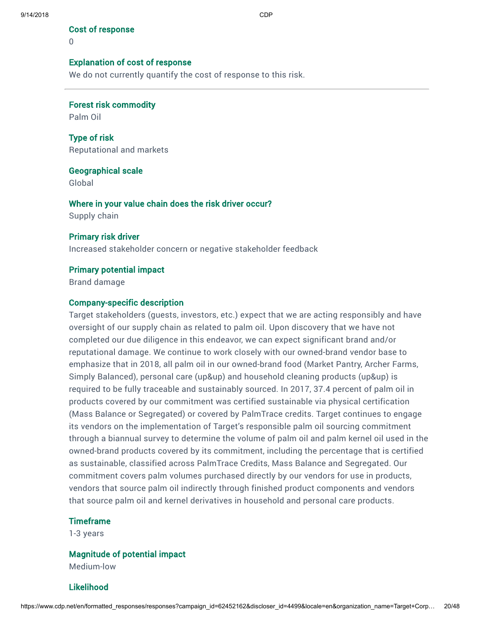Cost of response

 $\Omega$ 

### Explanation of cost of response

We do not currently quantify the cost of response to this risk.

Forest risk commodity

Palm Oil

Type of risk Reputational and markets

Geographical scale

Global

Where in your value chain does the risk driver occur? Supply chain

### Primary risk driver

Increased stakeholder concern or negative stakeholder feedback

### Primary potential impact

Brand damage

### Company-specific description

Target stakeholders (guests, investors, etc.) expect that we are acting responsibly and have oversight of our supply chain as related to palm oil. Upon discovery that we have not completed our due diligence in this endeavor, we can expect significant brand and/or reputational damage. We continue to work closely with our owned-brand vendor base to emphasize that in 2018, all palm oil in our owned-brand food (Market Pantry, Archer Farms, Simply Balanced), personal care (up&up) and household cleaning products (up&up) is required to be fully traceable and sustainably sourced. In 2017, 37.4 percent of palm oil in products covered by our commitment was certified sustainable via physical certification (Mass Balance or Segregated) or covered by PalmTrace credits. Target continues to engage its vendors on the implementation of Target's responsible palm oil sourcing commitment through a biannual survey to determine the volume of palm oil and palm kernel oil used in the owned-brand products covered by its commitment, including the percentage that is certified as sustainable, classified across PalmTrace Credits, Mass Balance and Segregated. Our commitment covers palm volumes purchased directly by our vendors for use in products, vendors that source palm oil indirectly through finished product components and vendors that source palm oil and kernel derivatives in household and personal care products.

### **Timeframe**

1-3 years

### Magnitude of potential impact

Medium-low

### Likelihood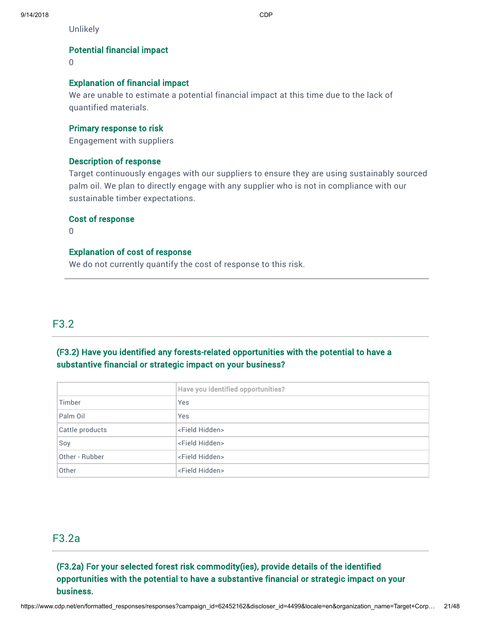Unlikely

## Potential financial impact

0

## Explanation of financial impact

We are unable to estimate a potential financial impact at this time due to the lack of quantified materials.

### Primary response to risk

Engagement with suppliers

## Description of response

Target continuously engages with our suppliers to ensure they are using sustainably sourced palm oil. We plan to directly engage with any supplier who is not in compliance with our sustainable timber expectations.

### Cost of response

 $\Omega$ 

## Explanation of cost of response

We do not currently quantify the cost of response to this risk.

## F3.2

## (F3.2) Have you identified any forests-related opportunities with the potential to have a substantive financial or strategic impact on your business?

|                 | Have you identified opportunities? |  |  |
|-----------------|------------------------------------|--|--|
| Timber          | Yes                                |  |  |
| Palm Oil        | Yes                                |  |  |
| Cattle products | <field hidden=""></field>          |  |  |
| Soy             | <field hidden=""></field>          |  |  |
| Other - Rubber  | <field hidden=""></field>          |  |  |
| Other           | <field hidden=""></field>          |  |  |

## F3.2a

## (F3.2a) For your selected forest risk commodity(ies), provide details of the identified opportunities with the potential to have a substantive financial or strategic impact on your business.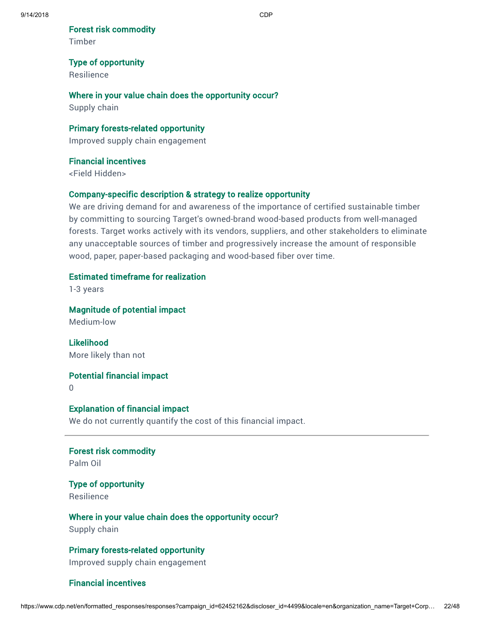Forest risk commodity

Timber

## Type of opportunity

Resilience

## Where in your value chain does the opportunity occur?

Supply chain

## Primary forests-related opportunity

Improved supply chain engagement

## Financial incentives

<Field Hidden>

## Company-specific description & strategy to realize opportunity

We are driving demand for and awareness of the importance of certified sustainable timber by committing to sourcing Target's owned-brand wood-based products from well-managed forests. Target works actively with its vendors, suppliers, and other stakeholders to eliminate any unacceptable sources of timber and progressively increase the amount of responsible wood, paper, paper-based packaging and wood-based fiber over time.

## Estimated timeframe for realization

1-3 years

Magnitude of potential impact

Medium-low

Likelihood More likely than not

Potential financial impact

0

## Explanation of financial impact

We do not currently quantify the cost of this financial impact.

Forest risk commodity Palm Oil

Type of opportunity Resilience

Where in your value chain does the opportunity occur? Supply chain

Primary forests-related opportunity Improved supply chain engagement

## Financial incentives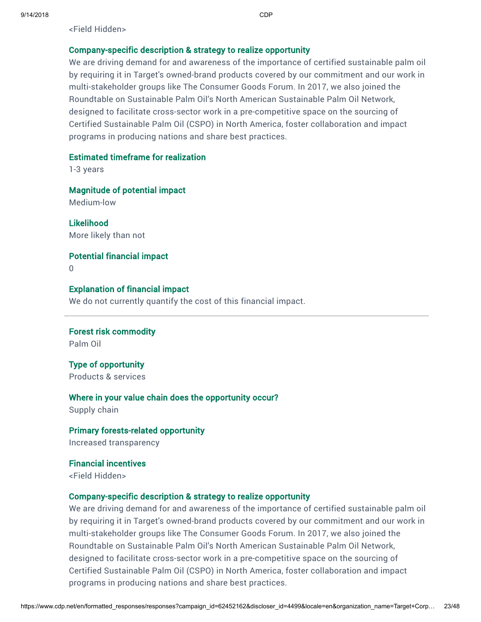<Field Hidden>

### Company-specific description & strategy to realize opportunity

We are driving demand for and awareness of the importance of certified sustainable palm oil by requiring it in Target's owned-brand products covered by our commitment and our work in multi-stakeholder groups like The Consumer Goods Forum. In 2017, we also joined the Roundtable on Sustainable Palm Oil's North American Sustainable Palm Oil Network, designed to facilitate cross-sector work in a pre-competitive space on the sourcing of Certified Sustainable Palm Oil (CSPO) in North America, foster collaboration and impact programs in producing nations and share best practices.

## Estimated timeframe for realization

1-3 years

Magnitude of potential impact Medium-low

Likelihood More likely than not

Potential financial impact  $\cap$ 

### Explanation of financial impact

We do not currently quantify the cost of this financial impact.

Forest risk commodity Palm Oil

Type of opportunity Products & services

### Where in your value chain does the opportunity occur?

Supply chain

Primary forests-related opportunity Increased transparency

Financial incentives <Field Hidden>

### Company-specific description & strategy to realize opportunity

We are driving demand for and awareness of the importance of certified sustainable palm oil by requiring it in Target's owned-brand products covered by our commitment and our work in multi-stakeholder groups like The Consumer Goods Forum. In 2017, we also joined the Roundtable on Sustainable Palm Oil's North American Sustainable Palm Oil Network, designed to facilitate cross-sector work in a pre-competitive space on the sourcing of Certified Sustainable Palm Oil (CSPO) in North America, foster collaboration and impact programs in producing nations and share best practices.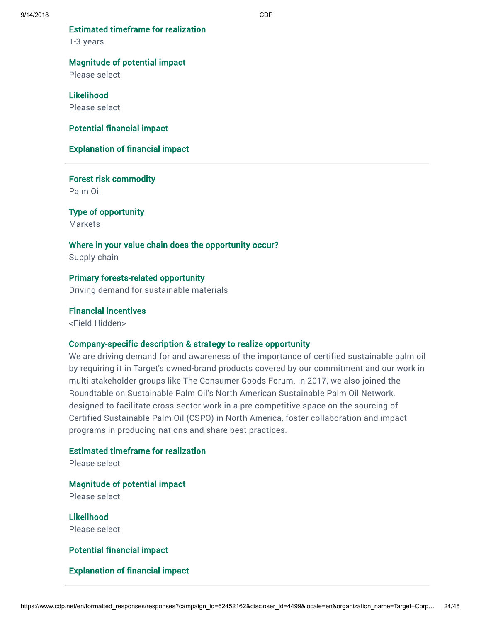Estimated timeframe for realization

1-3 years

### Magnitude of potential impact

Please select

## Likelihood

Please select

### Potential financial impact

## Explanation of financial impact

Forest risk commodity Palm Oil

Type of opportunity Markets

# Where in your value chain does the opportunity occur?

Supply chain

# Primary forests-related opportunity

Driving demand for sustainable materials

### Financial incentives

<Field Hidden>

### Company-specific description & strategy to realize opportunity

We are driving demand for and awareness of the importance of certified sustainable palm oil by requiring it in Target's owned-brand products covered by our commitment and our work in multi-stakeholder groups like The Consumer Goods Forum. In 2017, we also joined the Roundtable on Sustainable Palm Oil's North American Sustainable Palm Oil Network, designed to facilitate cross-sector work in a pre-competitive space on the sourcing of Certified Sustainable Palm Oil (CSPO) in North America, foster collaboration and impact programs in producing nations and share best practices.

## Estimated timeframe for realization

Please select

## Magnitude of potential impact

Please select

Likelihood Please select

## Potential financial impact

## Explanation of financial impact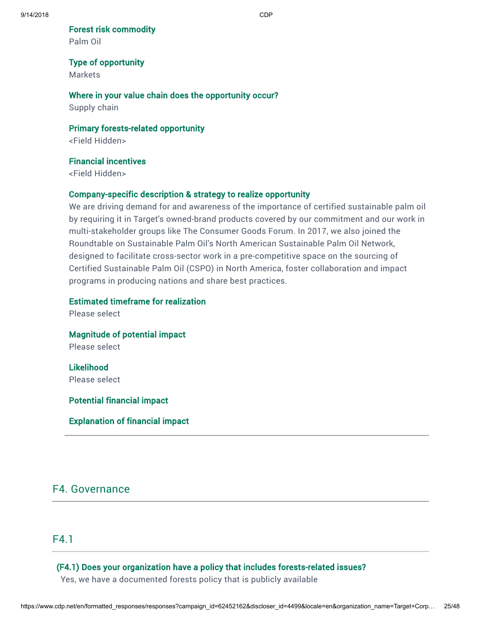Forest risk commodity

Palm Oil

### Type of opportunity

Markets

## Where in your value chain does the opportunity occur?

Supply chain

## Primary forests-related opportunity

<Field Hidden>

## Financial incentives

<Field Hidden>

## Company-specific description & strategy to realize opportunity

We are driving demand for and awareness of the importance of certified sustainable palm oil by requiring it in Target's owned-brand products covered by our commitment and our work in multi-stakeholder groups like The Consumer Goods Forum. In 2017, we also joined the Roundtable on Sustainable Palm Oil's North American Sustainable Palm Oil Network, designed to facilitate cross-sector work in a pre-competitive space on the sourcing of Certified Sustainable Palm Oil (CSPO) in North America, foster collaboration and impact programs in producing nations and share best practices.

## Estimated timeframe for realization

Please select

Magnitude of potential impact

Please select

Likelihood Please select

Potential financial impact

Explanation of financial impact

# F4. Governance

## F4.1

## (F4.1) Does your organization have a policy that includes forests-related issues?

Yes, we have a documented forests policy that is publicly available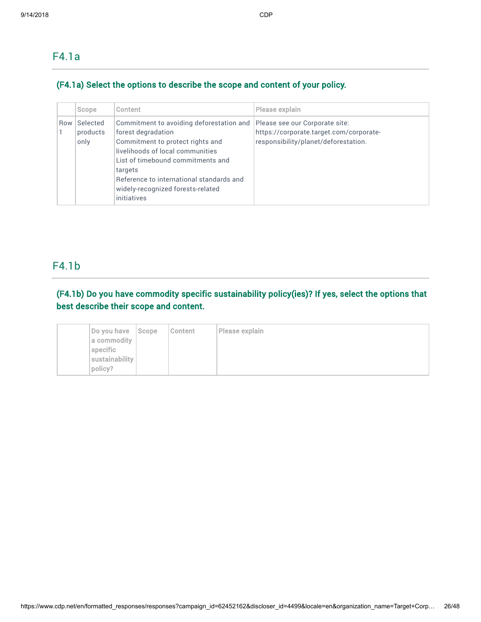## F4.1a

## (F4.1a) Select the options to describe the scope and content of your policy.

|     | Scope                        | Content                                                                                                                                                                                                                                                                                | Please explain                                                                                                    |
|-----|------------------------------|----------------------------------------------------------------------------------------------------------------------------------------------------------------------------------------------------------------------------------------------------------------------------------------|-------------------------------------------------------------------------------------------------------------------|
| Row | Selected<br>products<br>only | Commitment to avoiding deforestation and<br>forest degradation<br>Commitment to protect rights and<br>livelihoods of local communities<br>List of timebound commitments and<br>targets<br>Reference to international standards and<br>widely-recognized forests-related<br>initiatives | Please see our Corporate site:<br>https://corporate.target.com/corporate-<br>responsibility/planet/deforestation. |

## F4.1b

## (F4.1b) Do you have commodity specific sustainability policy(ies)? If yes, select the options that best describe their scope and content.

| Do you have    | $  \mathsf{Scope}  $ | Content | Please explain |
|----------------|----------------------|---------|----------------|
| a commodity    |                      |         |                |
| specific       |                      |         |                |
| sustainability |                      |         |                |
| policy?        |                      |         |                |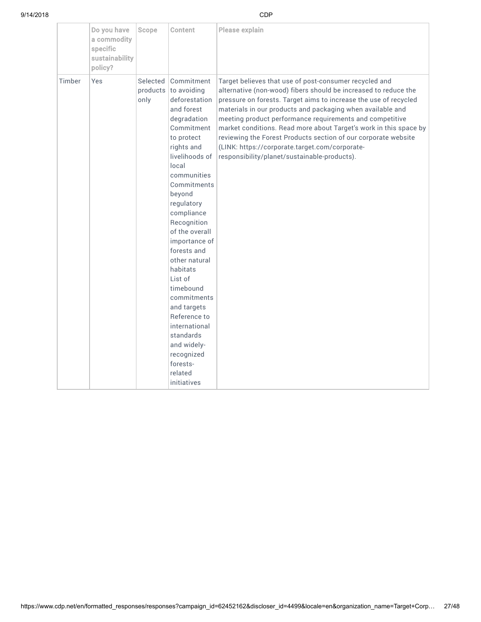|        | Do you have<br>a commodity<br>specific<br>sustainability<br>policy? | Scope                        | Content                                                                                                                                                                                                                                                                                                                                                                                                                                                                               | Please explain                                                                                                                                                                                                                                                                                                                                                                                                                                                                                                                                                   |
|--------|---------------------------------------------------------------------|------------------------------|---------------------------------------------------------------------------------------------------------------------------------------------------------------------------------------------------------------------------------------------------------------------------------------------------------------------------------------------------------------------------------------------------------------------------------------------------------------------------------------|------------------------------------------------------------------------------------------------------------------------------------------------------------------------------------------------------------------------------------------------------------------------------------------------------------------------------------------------------------------------------------------------------------------------------------------------------------------------------------------------------------------------------------------------------------------|
| Timber | Yes                                                                 | Selected<br>products<br>only | Commitment<br>to avoiding<br>deforestation<br>and forest<br>degradation<br>Commitment<br>to protect<br>rights and<br>livelihoods of<br>local<br>communities<br>Commitments<br>beyond<br>regulatory<br>compliance<br>Recognition<br>of the overall<br>importance of<br>forests and<br>other natural<br>habitats<br>List of<br>timebound<br>commitments<br>and targets<br>Reference to<br>international<br>standards<br>and widely-<br>recognized<br>forests-<br>related<br>initiatives | Target believes that use of post-consumer recycled and<br>alternative (non-wood) fibers should be increased to reduce the<br>pressure on forests. Target aims to increase the use of recycled<br>materials in our products and packaging when available and<br>meeting product performance requirements and competitive<br>market conditions. Read more about Target's work in this space by<br>reviewing the Forest Products section of our corporate website<br>(LINK: https://corporate.target.com/corporate-<br>responsibility/planet/sustainable-products). |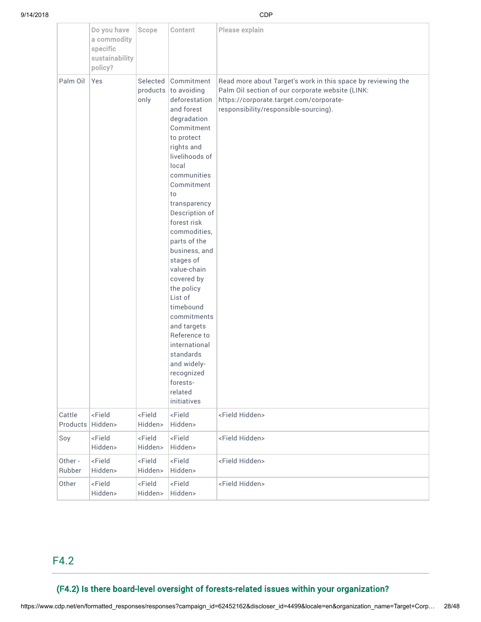|                    | Do you have<br>a commodity<br>specific<br>sustainability<br>policy? | Scope                           | Content                                                                                                                                                                                                                                                                                                                                                                                                                                                                                                                   | Please explain                                                                                                                                                                                       |
|--------------------|---------------------------------------------------------------------|---------------------------------|---------------------------------------------------------------------------------------------------------------------------------------------------------------------------------------------------------------------------------------------------------------------------------------------------------------------------------------------------------------------------------------------------------------------------------------------------------------------------------------------------------------------------|------------------------------------------------------------------------------------------------------------------------------------------------------------------------------------------------------|
| Palm Oil           | Yes                                                                 | Selected<br>only                | Commitment<br>products to avoiding<br>deforestation<br>and forest<br>degradation<br>Commitment<br>to protect<br>rights and<br>livelihoods of<br>local<br>communities<br>Commitment<br>to<br>transparency<br>Description of<br>forest risk<br>commodities.<br>parts of the<br>business, and<br>stages of<br>value-chain<br>covered by<br>the policy<br>List of<br>timebound<br>commitments<br>and targets<br>Reference to<br>international<br>standards<br>and widely-<br>recognized<br>forests-<br>related<br>initiatives | Read more about Target's work in this space by reviewing the<br>Palm Oil section of our corporate website (LINK:<br>https://corporate.target.com/corporate-<br>responsibility/responsible-sourcing). |
| Cattle<br>Products | <field<br>Hidden&gt;</field<br>                                     | <field<br>Hidden&gt;</field<br> | <field<br>Hidden&gt;</field<br>                                                                                                                                                                                                                                                                                                                                                                                                                                                                                           | <field hidden=""></field>                                                                                                                                                                            |
| Soy                | <field<br>Hidden&gt;</field<br>                                     | <field<br>Hidden&gt;</field<br> | <field<br>Hidden&gt;</field<br>                                                                                                                                                                                                                                                                                                                                                                                                                                                                                           | <field hidden=""></field>                                                                                                                                                                            |
| Other -<br>Rubber  | <field<br>Hidden&gt;</field<br>                                     | <field<br>Hidden&gt;</field<br> | <field<br>Hidden&gt;</field<br>                                                                                                                                                                                                                                                                                                                                                                                                                                                                                           | <field hidden=""></field>                                                                                                                                                                            |
| Other              | <field<br>Hidden&gt;</field<br>                                     | <field<br>Hidden&gt;</field<br> | <field<br>Hidden&gt;</field<br>                                                                                                                                                                                                                                                                                                                                                                                                                                                                                           | <field hidden=""></field>                                                                                                                                                                            |

## F4.2

## (F4.2) Is there board-level oversight of forests-related issues within your organization?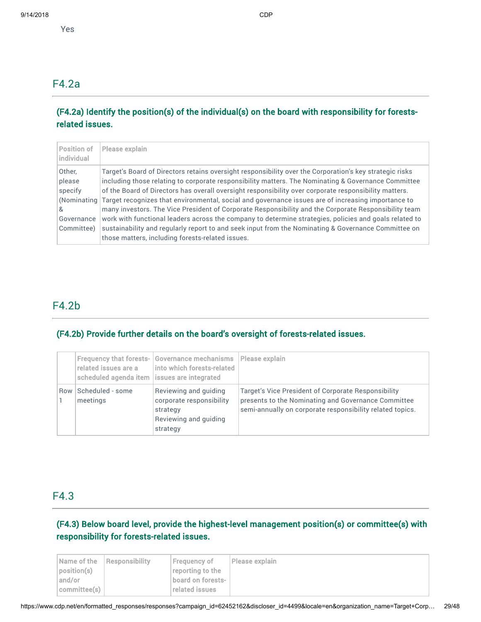## F4.2a

## (F4.2a) Identify the position(s) of the individual(s) on the board with responsibility for forestsrelated issues.

| <b>Position of</b><br>individual                                            | Please explain                                                                                                                                                                                                                                                                                                                                                                                                                                                                                                                                                                                                                                                                                                                                                                                             |
|-----------------------------------------------------------------------------|------------------------------------------------------------------------------------------------------------------------------------------------------------------------------------------------------------------------------------------------------------------------------------------------------------------------------------------------------------------------------------------------------------------------------------------------------------------------------------------------------------------------------------------------------------------------------------------------------------------------------------------------------------------------------------------------------------------------------------------------------------------------------------------------------------|
| Other,<br>please<br>specify<br>(Nominating<br>&<br>Governance<br>Committee) | Target's Board of Directors retains oversight responsibility over the Corporation's key strategic risks<br>including those relating to corporate responsibility matters. The Nominating & Governance Committee<br>of the Board of Directors has overall oversight responsibility over corporate responsibility matters.<br>Target recognizes that environmental, social and governance issues are of increasing importance to<br>many investors. The Vice President of Corporate Responsibility and the Corporate Responsibility team<br>work with functional leaders across the company to determine strategies, policies and goals related to<br>sustainability and regularly report to and seek input from the Nominating & Governance Committee on<br>those matters, including forests-related issues. |

## F4.2b

## (F4.2b) Provide further details on the board's oversight of forests-related issues.

|     | <b>Frequency that forests-</b><br>related issues are a<br>scheduled agenda item   issues are integrated | Governance mechanisms<br>into which forests-related                                                | Please explain                                                                                                                                                          |
|-----|---------------------------------------------------------------------------------------------------------|----------------------------------------------------------------------------------------------------|-------------------------------------------------------------------------------------------------------------------------------------------------------------------------|
| Row | Scheduled - some<br>meetings                                                                            | Reviewing and quiding<br>corporate responsibility<br>strategy<br>Reviewing and quiding<br>strategy | Target's Vice President of Corporate Responsibility<br>presents to the Nominating and Governance Committee<br>semi-annually on corporate responsibility related topics. |

## F4.3

## (F4.3) Below board level, provide the highest-level management position(s) or committee(s) with responsibility for forests-related issues.

|              | <b>Name of the Responsibility</b> | Frequency of      | Please explain |
|--------------|-----------------------------------|-------------------|----------------|
| position(s)  |                                   | reporting to the  |                |
| and/or       |                                   | board on forests- |                |
| committee(s) |                                   | related issues    |                |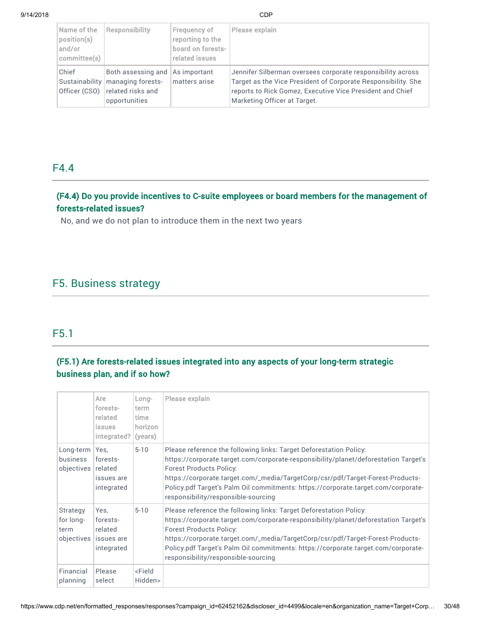| Name of the<br>position(s)<br>and/or<br>committee(s) | <b>Responsibility</b>                                                                          | Frequency of<br>reporting to the<br>board on forests-<br>related issues | Please explain                                                                                                                                                                                                            |
|------------------------------------------------------|------------------------------------------------------------------------------------------------|-------------------------------------------------------------------------|---------------------------------------------------------------------------------------------------------------------------------------------------------------------------------------------------------------------------|
| Chief<br>Officer (CSO)                               | Both assessing and<br>Sustainability   managing forests-<br>related risks and<br>opportunities | As important<br>matters arise                                           | Jennifer Silberman oversees corporate responsibility across<br>Target as the Vice President of Corporate Responsibility. She<br>reports to Rick Gomez, Executive Vice President and Chief<br>Marketing Officer at Target. |

## F4.4

## (F4.4) Do you provide incentives to C-suite employees or board members for the management of forests-related issues?

No, and we do not plan to introduce them in the next two years

## F5. Business strategy

## F5.1

## (F5.1) Are forests-related issues integrated into any aspects of your long-term strategic business plan, and if so how?

|                                             | Are<br>forests-<br>related<br><i>issues</i><br>integrated? | Long-<br>term<br>time<br>horizon<br>(years) | Please explain                                                                                                                                                                                                                                                                                                                                                                                            |
|---------------------------------------------|------------------------------------------------------------|---------------------------------------------|-----------------------------------------------------------------------------------------------------------------------------------------------------------------------------------------------------------------------------------------------------------------------------------------------------------------------------------------------------------------------------------------------------------|
| Long-term<br>business<br>objectives         | Yes,<br>forests-<br>related<br>issues are<br>integrated    | $5 - 10$                                    | Please reference the following links: Target Deforestation Policy:<br>https://corporate.target.com/corporate-responsibility/planet/deforestation Target's<br><b>Forest Products Policy:</b><br>https://corporate.target.com/_media/TargetCorp/csr/pdf/Target-Forest-Products-<br>Policy.pdf Target's Palm Oil commitments: https://corporate.target.com/corporate-<br>responsibility/responsible-sourcing |
| Strategy<br>for long-<br>term<br>objectives | Yes.<br>forests-<br>related<br>issues are<br>integrated    | $5 - 10$                                    | Please reference the following links: Target Deforestation Policy:<br>https://corporate.target.com/corporate-responsibility/planet/deforestation Target's<br><b>Forest Products Policy:</b><br>https://corporate.target.com/_media/TargetCorp/csr/pdf/Target-Forest-Products-<br>Policy.pdf Target's Palm Oil commitments: https://corporate.target.com/corporate-<br>responsibility/responsible-sourcing |
| Financial<br>planning                       | Please<br>select                                           | <field<br>Hidden&gt;</field<br>             |                                                                                                                                                                                                                                                                                                                                                                                                           |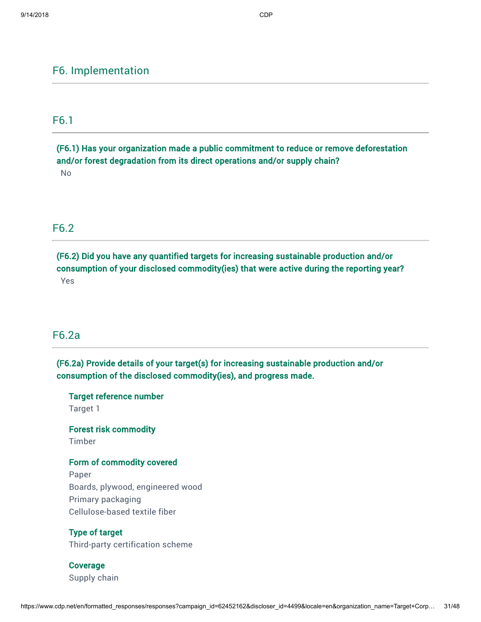## F6. Implementation

## F6.1

(F6.1) Has your organization made a public commitment to reduce or remove deforestation and/or forest degradation from its direct operations and/or supply chain? No

## F6.2

(F6.2) Did you have any quantified targets for increasing sustainable production and/or consumption of your disclosed commodity(ies) that were active during the reporting year? Yes

## F6.2a

(F6.2a) Provide details of your target(s) for increasing sustainable production and/or consumption of the disclosed commodity(ies), and progress made.

Target reference number Target 1

Forest risk commodity

Timber

## Form of commodity covered

Paper Boards, plywood, engineered wood Primary packaging Cellulose-based textile fiber

Type of target Third-party certification scheme

Coverage Supply chain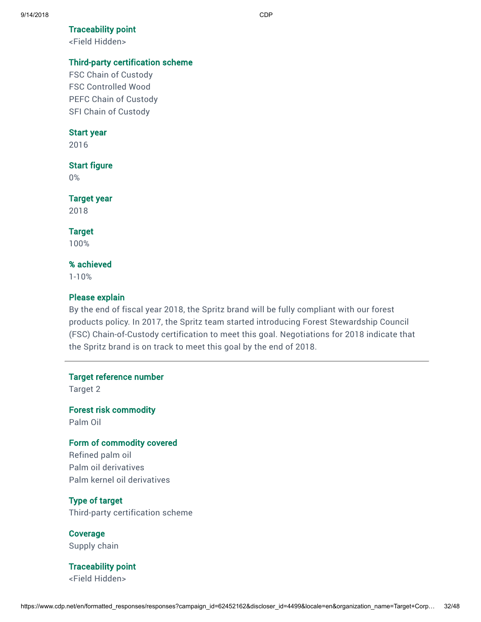### Traceability point

<Field Hidden>

## Third-party certification scheme

FSC Chain of Custody FSC Controlled Wood PEFC Chain of Custody SFI Chain of Custody

### Start year

2016

## Start figure

0%

### Target year

2018

### Target

100%

### % achieved

1-10%

### Please explain

By the end of fiscal year 2018, the Spritz brand will be fully compliant with our forest products policy. In 2017, the Spritz team started introducing Forest Stewardship Council (FSC) Chain-of-Custody certification to meet this goal. Negotiations for 2018 indicate that the Spritz brand is on track to meet this goal by the end of 2018.

Target reference number

Target 2

Forest risk commodity Palm Oil

## Form of commodity covered

Refined palm oil Palm oil derivatives Palm kernel oil derivatives

## Type of target

Third-party certification scheme

Coverage Supply chain

Traceability point <Field Hidden>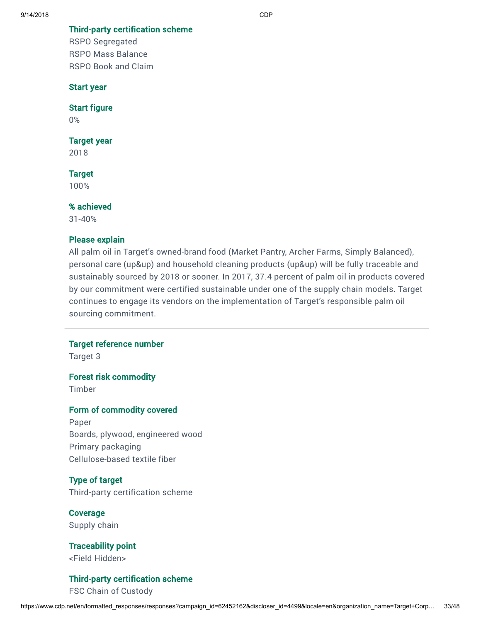Third-party certification scheme

RSPO Segregated RSPO Mass Balance RSPO Book and Claim

### Start year

Start figure

0%

### Target year

2018

## **Target**

100%

## % achieved

31-40%

## Please explain

All palm oil in Target's owned-brand food (Market Pantry, Archer Farms, Simply Balanced), personal care (up&up) and household cleaning products (up&up) will be fully traceable and sustainably sourced by 2018 or sooner. In 2017, 37.4 percent of palm oil in products covered by our commitment were certified sustainable under one of the supply chain models. Target continues to engage its vendors on the implementation of Target's responsible palm oil sourcing commitment.

### Target reference number

Target 3

## Forest risk commodity

Timber

### Form of commodity covered

Paper Boards, plywood, engineered wood Primary packaging Cellulose-based textile fiber

## Type of target

Third-party certification scheme

Coverage Supply chain

Traceability point <Field Hidden>

## Third-party certification scheme

FSC Chain of Custody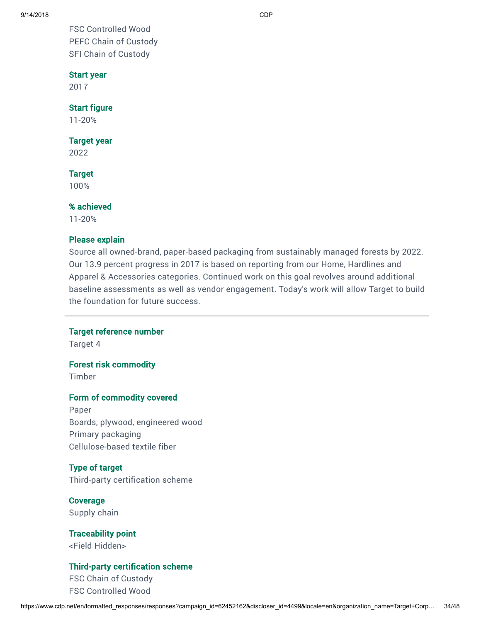FSC Controlled Wood PEFC Chain of Custody SFI Chain of Custody

### Start year

2017

### Start figure

11-20%

### Target year

2022

### **Target**

100%

## % achieved

11-20%

## Please explain

Source all owned-brand, paper-based packaging from sustainably managed forests by 2022. Our 13.9 percent progress in 2017 is based on reporting from our Home, Hardlines and Apparel & Accessories categories. Continued work on this goal revolves around additional baseline assessments as well as vendor engagement. Today's work will allow Target to build the foundation for future success.

## Target reference number

Target 4

### Forest risk commodity

Timber

### Form of commodity covered

Paper Boards, plywood, engineered wood Primary packaging Cellulose-based textile fiber

## Type of target

Third-party certification scheme

Coverage Supply chain

Traceability point <Field Hidden>

## Third-party certification scheme

FSC Chain of Custody FSC Controlled Wood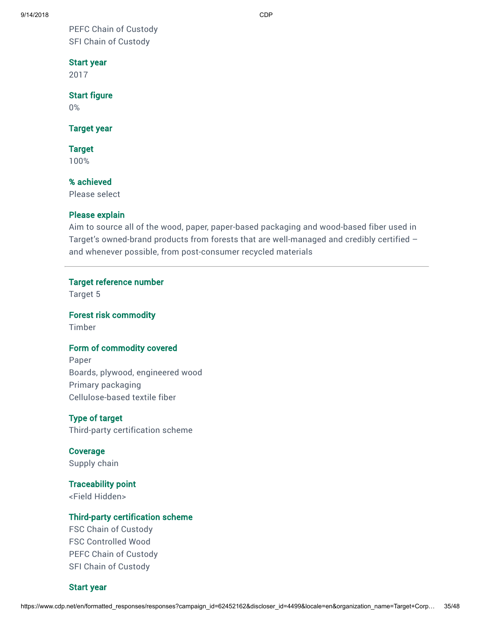9/14/2018 CDP

PEFC Chain of Custody SFI Chain of Custody

## Start year

2017

## Start figure

0%

## Target year

Target

100%

## % achieved

Please select

## Please explain

Aim to source all of the wood, paper, paper-based packaging and wood-based fiber used in Target's owned-brand products from forests that are well-managed and credibly certified – and whenever possible, from post-consumer recycled materials

## Target reference number

Target 5

## Forest risk commodity

Timber

## Form of commodity covered

Paper Boards, plywood, engineered wood Primary packaging Cellulose-based textile fiber

# Type of target

Third-party certification scheme

Coverage Supply chain

## Traceability point <Field Hidden>

## Third-party certification scheme

FSC Chain of Custody FSC Controlled Wood PEFC Chain of Custody SFI Chain of Custody

## Start year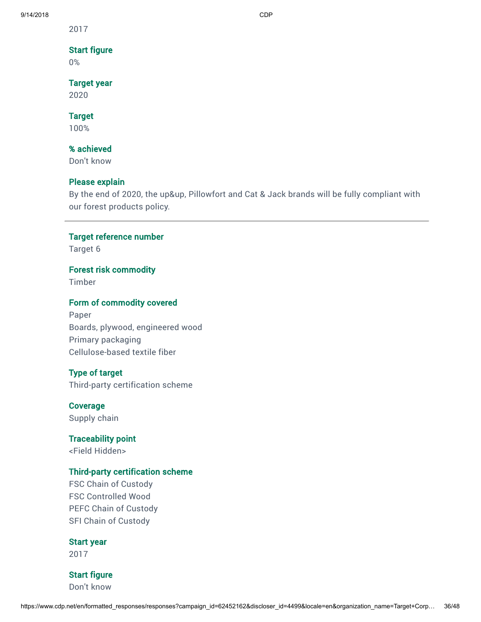2017

## Start figure

0%

## Target year

2020

## Target

100%

## % achieved

Don't know

## Please explain

By the end of 2020, the up&up, Pillowfort and Cat & Jack brands will be fully compliant with our forest products policy.

## Target reference number

Target 6

## Forest risk commodity

Timber

## Form of commodity covered

Paper Boards, plywood, engineered wood Primary packaging Cellulose-based textile fiber

## Type of target

Third-party certification scheme

### Coverage

Supply chain

### Traceability point

<Field Hidden>

## Third-party certification scheme

FSC Chain of Custody FSC Controlled Wood PEFC Chain of Custody SFI Chain of Custody

### Start year

2017

## Start figure

Don't know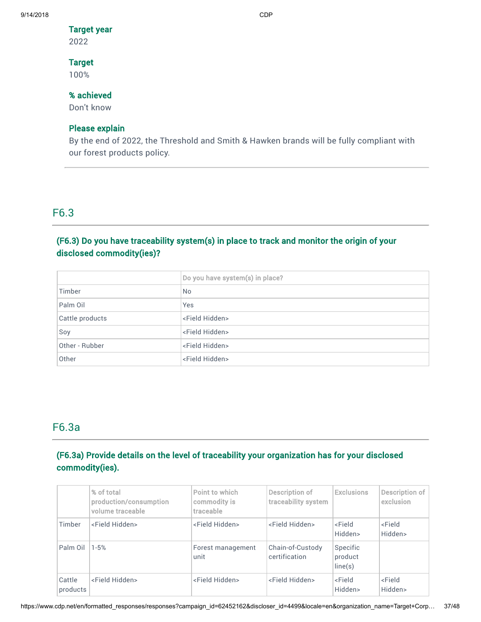### Target year

2022

## Target

100%

## % achieved

Don't know

## Please explain

By the end of 2022, the Threshold and Smith & Hawken brands will be fully compliant with our forest products policy.

## F6.3

## (F6.3) Do you have traceability system(s) in place to track and monitor the origin of your disclosed commodity(ies)?

|                 | Do you have system(s) in place? |
|-----------------|---------------------------------|
| Timber          | <b>No</b>                       |
| Palm Oil        | <b>Yes</b>                      |
| Cattle products | <field hidden=""></field>       |
| Soy             | <field hidden=""></field>       |
| Other - Rubber  | <field hidden=""></field>       |
| Other           | <field hidden=""></field>       |

## F6.3a

## (F6.3a) Provide details on the level of traceability your organization has for your disclosed commodity(ies).

|                    | % of total<br>production/consumption<br>volume traceable | Point to which<br>commodity is<br>traceable | Description of<br>traceability system | <b>Exclusions</b>               | Description of<br>exclusion     |
|--------------------|----------------------------------------------------------|---------------------------------------------|---------------------------------------|---------------------------------|---------------------------------|
| Timber             | <field hidden=""></field>                                | <field hidden=""></field>                   | <field hidden=""></field>             | <field<br>Hidden&gt;</field<br> | <field<br>Hidden&gt;</field<br> |
| Palm Oil           | $1 - 5%$                                                 | Forest management<br>unit                   | Chain-of-Custody<br>certification     | Specific<br>product<br>line(s)  |                                 |
| Cattle<br>products | <field hidden=""></field>                                | <field hidden=""></field>                   | <field hidden=""></field>             | <field<br>Hidden&gt;</field<br> | <field<br>Hidden&gt;</field<br> |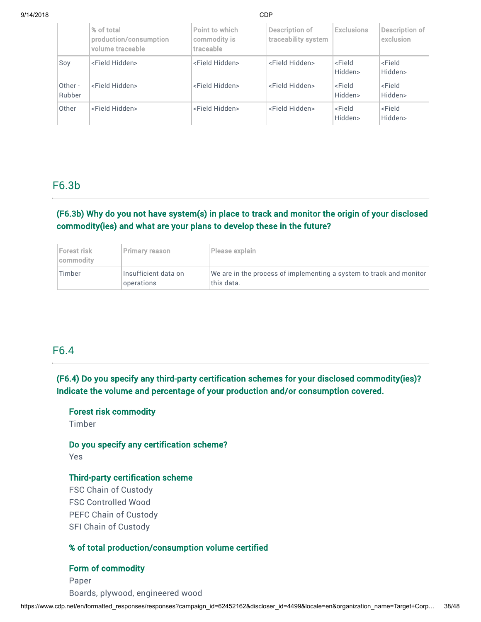|                   | % of total<br>production/consumption<br>volume traceable | Point to which<br>commodity is<br>traceable | Description of<br>traceability system | <b>Exclusions</b>               | Description of<br>exclusion     |
|-------------------|----------------------------------------------------------|---------------------------------------------|---------------------------------------|---------------------------------|---------------------------------|
| Soy               | <field hidden=""></field>                                | <field hidden=""></field>                   | <field hidden=""></field>             | <field<br>Hidden&gt;</field<br> | <field<br>Hidden&gt;</field<br> |
| Other -<br>Rubber | <field hidden=""></field>                                | <field hidden=""></field>                   | <field hidden=""></field>             | <field<br>Hidden&gt;</field<br> | <field<br>Hidden&gt;</field<br> |
| Other             | <field hidden=""></field>                                | <field hidden=""></field>                   | <field hidden=""></field>             | <field<br>Hidden&gt;</field<br> | <field<br>Hidden&gt;</field<br> |

## F6.3b

## (F6.3b) Why do you not have system(s) in place to track and monitor the origin of your disclosed commodity(ies) and what are your plans to develop these in the future?

| Forest risk<br>commodity | Primary reason                     | Please explain                                                                        |
|--------------------------|------------------------------------|---------------------------------------------------------------------------------------|
| Timber                   | Insufficient data on<br>operations | We are in the process of implementing a system to track and monitor $ $<br>this data. |

## F6.4

(F6.4) Do you specify any third-party certification schemes for your disclosed commodity(ies)? Indicate the volume and percentage of your production and/or consumption covered.

## Forest risk commodity

Timber

## Do you specify any certification scheme?

Yes

## Third-party certification scheme

FSC Chain of Custody FSC Controlled Wood PEFC Chain of Custody SFI Chain of Custody

## % of total production/consumption volume certified

### Form of commodity

Paper Boards, plywood, engineered wood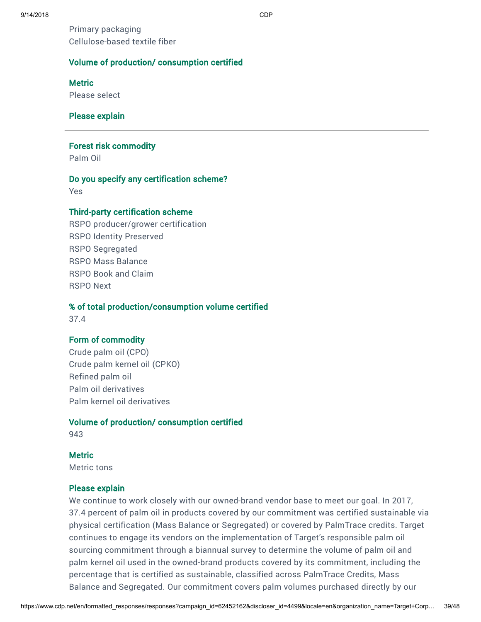Primary packaging Cellulose-based textile fiber

## Volume of production/ consumption certified

**Metric** 

Please select

## Please explain

### Forest risk commodity

Palm Oil

### Do you specify any certification scheme?

Yes

## Third-party certification scheme

RSPO producer/grower certification RSPO Identity Preserved RSPO Segregated RSPO Mass Balance RSPO Book and Claim RSPO Next

## % of total production/consumption volume certified

37.4

## Form of commodity

Crude palm oil (CPO) Crude palm kernel oil (CPKO) Refined palm oil Palm oil derivatives Palm kernel oil derivatives

### Volume of production/ consumption certified

943

## **Metric**

Metric tons

## Please explain

We continue to work closely with our owned-brand vendor base to meet our goal. In 2017, 37.4 percent of palm oil in products covered by our commitment was certified sustainable via physical certification (Mass Balance or Segregated) or covered by PalmTrace credits. Target continues to engage its vendors on the implementation of Target's responsible palm oil sourcing commitment through a biannual survey to determine the volume of palm oil and palm kernel oil used in the owned-brand products covered by its commitment, including the percentage that is certified as sustainable, classified across PalmTrace Credits, Mass Balance and Segregated. Our commitment covers palm volumes purchased directly by our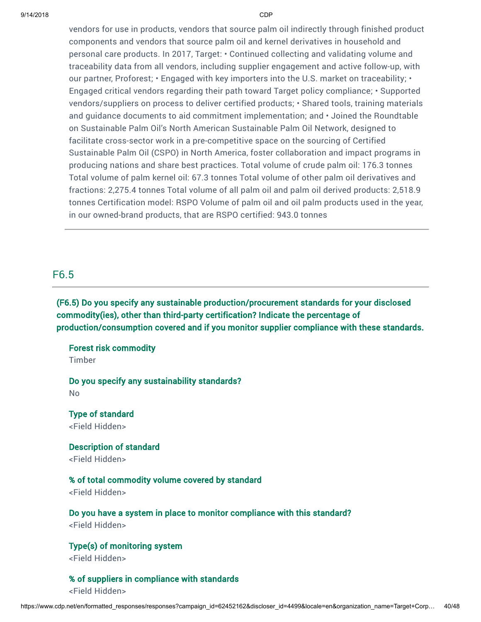vendors for use in products, vendors that source palm oil indirectly through finished product components and vendors that source palm oil and kernel derivatives in household and personal care products. In 2017, Target: • Continued collecting and validating volume and traceability data from all vendors, including supplier engagement and active follow-up, with our partner, Proforest; • Engaged with key importers into the U.S. market on traceability; • Engaged critical vendors regarding their path toward Target policy compliance; • Supported vendors/suppliers on process to deliver certified products; • Shared tools, training materials and guidance documents to aid commitment implementation; and • Joined the Roundtable on Sustainable Palm Oil's North American Sustainable Palm Oil Network, designed to facilitate cross-sector work in a pre-competitive space on the sourcing of Certified Sustainable Palm Oil (CSPO) in North America, foster collaboration and impact programs in producing nations and share best practices. Total volume of crude palm oil: 176.3 tonnes Total volume of palm kernel oil: 67.3 tonnes Total volume of other palm oil derivatives and fractions: 2,275.4 tonnes Total volume of all palm oil and palm oil derived products: 2,518.9 tonnes Certification model: RSPO Volume of palm oil and oil palm products used in the year, in our owned-brand products, that are RSPO certified: 943.0 tonnes

## F6.5

(F6.5) Do you specify any sustainable production/procurement standards for your disclosed commodity(ies), other than third-party certification? Indicate the percentage of production/consumption covered and if you monitor supplier compliance with these standards.

Forest risk commodity Timber

Do you specify any sustainability standards? No

Type of standard <Field Hidden>

Description of standard <Field Hidden>

## % of total commodity volume covered by standard

<Field Hidden>

Do you have a system in place to monitor compliance with this standard? <Field Hidden>

Type(s) of monitoring system <Field Hidden>

% of suppliers in compliance with standards <Field Hidden>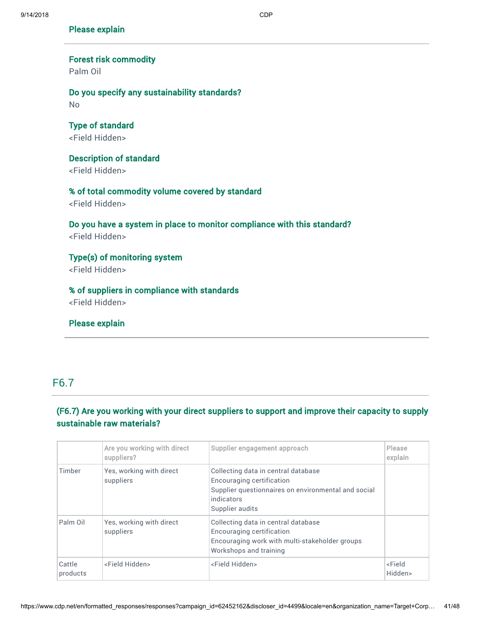## Please explain

# Forest risk commodity

Palm Oil

## Do you specify any sustainability standards? No

Type of standard <Field Hidden>

## Description of standard <Field Hidden>

# % of total commodity volume covered by standard

<Field Hidden>

## Do you have a system in place to monitor compliance with this standard? <Field Hidden>

Type(s) of monitoring system <Field Hidden>

# % of suppliers in compliance with standards

<Field Hidden>

## Please explain

## F6.7

## (F6.7) Are you working with your direct suppliers to support and improve their capacity to supply sustainable raw materials?

|                    | Are you working with direct<br>suppliers? | Supplier engagement approach                                                                                                                             | <b>Please</b><br>explain        |
|--------------------|-------------------------------------------|----------------------------------------------------------------------------------------------------------------------------------------------------------|---------------------------------|
| Timber             | Yes, working with direct<br>suppliers     | Collecting data in central database<br>Encouraging certification<br>Supplier questionnaires on environmental and social<br>indicators<br>Supplier audits |                                 |
| Palm Oil           | Yes, working with direct<br>suppliers     | Collecting data in central database<br>Encouraging certification<br>Encouraging work with multi-stakeholder groups<br>Workshops and training             |                                 |
| Cattle<br>products | <field hidden=""></field>                 | <field hidden=""></field>                                                                                                                                | <field<br>Hidden&gt;</field<br> |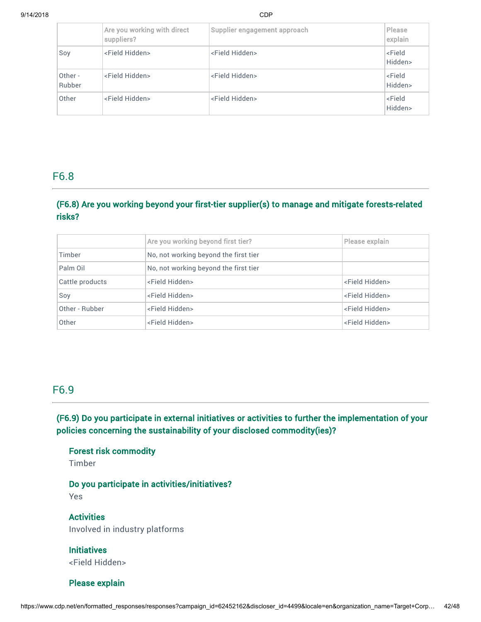|                   | Are you working with direct<br>suppliers? | Supplier engagement approach | Please<br>explain               |
|-------------------|-------------------------------------------|------------------------------|---------------------------------|
| Soy               | <field hidden=""></field>                 | <field hidden=""></field>    | <field<br>Hidden&gt;</field<br> |
| Other -<br>Rubber | <field hidden=""></field>                 | <field hidden=""></field>    | <field<br>Hidden&gt;</field<br> |
| Other             | <field hidden=""></field>                 | <field hidden=""></field>    | <field<br>Hidden&gt;</field<br> |

## F6.8

## (F6.8) Are you working beyond your first-tier supplier(s) to manage and mitigate forests-related risks?

|                 | Are you working beyond first tier?    | Please explain            |
|-----------------|---------------------------------------|---------------------------|
| Timber          | No, not working beyond the first tier |                           |
| Palm Oil        | No, not working beyond the first tier |                           |
| Cattle products | <field hidden=""></field>             | <field hidden=""></field> |
| Soy             | <field hidden=""></field>             | <field hidden=""></field> |
| Other - Rubber  | <field hidden=""></field>             | <field hidden=""></field> |
| Other           | <field hidden=""></field>             | <field hidden=""></field> |

## F6.9

## (F6.9) Do you participate in external initiatives or activities to further the implementation of your policies concerning the sustainability of your disclosed commodity(ies)?

Forest risk commodity

Timber

Do you participate in activities/initiatives? Yes

**Activities** Involved in industry platforms

**Initiatives** <Field Hidden>

Please explain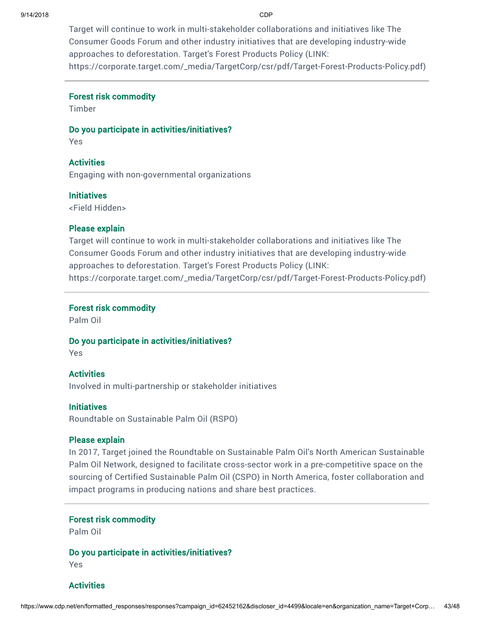Target will continue to work in multi-stakeholder collaborations and initiatives like The Consumer Goods Forum and other industry initiatives that are developing industry-wide approaches to deforestation. Target's Forest Products Policy (LINK: [https://corporate.target.com/\\_media/TargetCorp/csr/pdf/Target-Forest-Products-Policy.pdf](https://corporate.target.com/_media/TargetCorp/csr/pdf/Target-Forest-Products-Policy.pdf))

### Forest risk commodity

Timber

## Do you participate in activities/initiatives?

Yes

## **Activities**

Engaging with non-governmental organizations

### **Initiatives**

<Field Hidden>

### Please explain

Target will continue to work in multi-stakeholder collaborations and initiatives like The Consumer Goods Forum and other industry initiatives that are developing industry-wide approaches to deforestation. Target's Forest Products Policy (LINK: [https://corporate.target.com/\\_media/TargetCorp/csr/pdf/Target-Forest-Products-Policy.pdf](https://corporate.target.com/_media/TargetCorp/csr/pdf/Target-Forest-Products-Policy.pdf))

### Forest risk commodity

Palm Oil

### Do you participate in activities/initiatives?

Yes

## **Activities**

Involved in multi-partnership or stakeholder initiatives

## **Initiatives**

Roundtable on Sustainable Palm Oil (RSPO)

## Please explain

In 2017, Target joined the Roundtable on Sustainable Palm Oil's North American Sustainable Palm Oil Network, designed to facilitate cross-sector work in a pre-competitive space on the sourcing of Certified Sustainable Palm Oil (CSPO) in North America, foster collaboration and impact programs in producing nations and share best practices.

## Forest risk commodity

Palm Oil

## Do you participate in activities/initiatives?

Yes

## **Activities**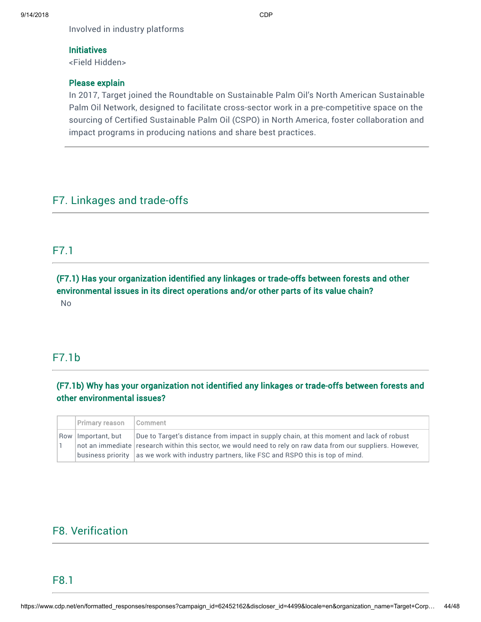Involved in industry platforms

## **Initiatives**

<Field Hidden>

## Please explain

In 2017, Target joined the Roundtable on Sustainable Palm Oil's North American Sustainable Palm Oil Network, designed to facilitate cross-sector work in a pre-competitive space on the sourcing of Certified Sustainable Palm Oil (CSPO) in North America, foster collaboration and impact programs in producing nations and share best practices.

## F7. Linkages and trade-offs

## F7.1

(F7.1) Has your organization identified any linkages or trade-offs between forests and other environmental issues in its direct operations and/or other parts of its value chain? No

## F7.1b

## (F7.1b) Why has your organization not identified any linkages or trade-offs between forests and other environmental issues?

| Primary reason       | Comment                                                                                                                                                                                                                                                                                                    |
|----------------------|------------------------------------------------------------------------------------------------------------------------------------------------------------------------------------------------------------------------------------------------------------------------------------------------------------|
| Row   Important, but | Due to Target's distance from impact in supply chain, at this moment and lack of robust<br>not an immediate research within this sector, we would need to rely on raw data from our suppliers. However,<br>  business priority   as we work with industry partners, like FSC and RSPO this is top of mind. |

# F8. Verification

## F8.1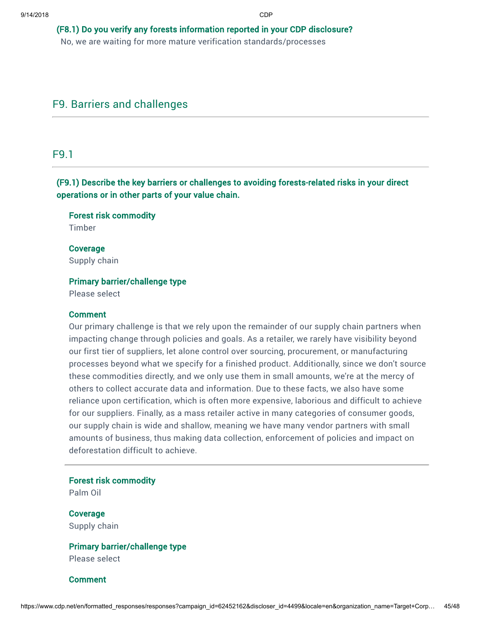## (F8.1) Do you verify any forests information reported in your CDP disclosure?

No, we are waiting for more mature verification standards/processes

## F9. Barriers and challenges

## F9.1

(F9.1) Describe the key barriers or challenges to avoiding forests-related risks in your direct operations or in other parts of your value chain.

Forest risk commodity Timber

Coverage Supply chain

### Primary barrier/challenge type

Please select

### **Comment**

Our primary challenge is that we rely upon the remainder of our supply chain partners when impacting change through policies and goals. As a retailer, we rarely have visibility beyond our first tier of suppliers, let alone control over sourcing, procurement, or manufacturing processes beyond what we specify for a finished product. Additionally, since we don't source these commodities directly, and we only use them in small amounts, we're at the mercy of others to collect accurate data and information. Due to these facts, we also have some reliance upon certification, which is often more expensive, laborious and difficult to achieve for our suppliers. Finally, as a mass retailer active in many categories of consumer goods, our supply chain is wide and shallow, meaning we have many vendor partners with small amounts of business, thus making data collection, enforcement of policies and impact on deforestation difficult to achieve.

Forest risk commodity

Palm Oil

Coverage Supply chain

# Primary barrier/challenge type

Please select

**Comment**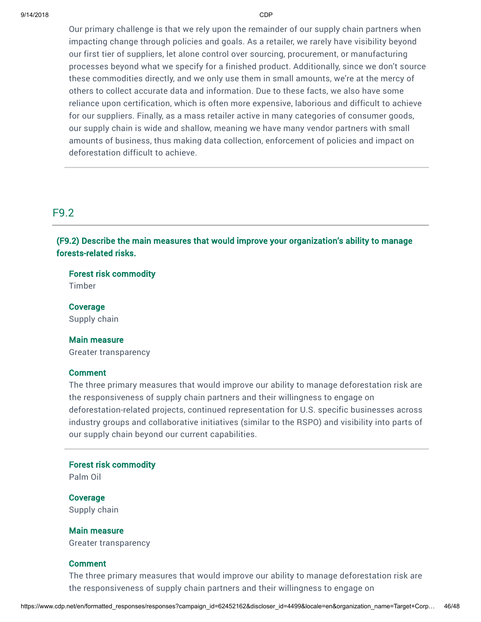Our primary challenge is that we rely upon the remainder of our supply chain partners when impacting change through policies and goals. As a retailer, we rarely have visibility beyond our first tier of suppliers, let alone control over sourcing, procurement, or manufacturing processes beyond what we specify for a finished product. Additionally, since we don't source these commodities directly, and we only use them in small amounts, we're at the mercy of others to collect accurate data and information. Due to these facts, we also have some reliance upon certification, which is often more expensive, laborious and difficult to achieve for our suppliers. Finally, as a mass retailer active in many categories of consumer goods, our supply chain is wide and shallow, meaning we have many vendor partners with small amounts of business, thus making data collection, enforcement of policies and impact on deforestation difficult to achieve.

## F9.2

(F9.2) Describe the main measures that would improve your organization's ability to manage forests-related risks.

Forest risk commodity

Timber

Coverage Supply chain

### Main measure

Greater transparency

### **Comment**

The three primary measures that would improve our ability to manage deforestation risk are the responsiveness of supply chain partners and their willingness to engage on deforestation-related projects, continued representation for U.S. specific businesses across industry groups and collaborative initiatives (similar to the RSPO) and visibility into parts of our supply chain beyond our current capabilities.

### Forest risk commodity

Palm Oil

Coverage Supply chain

### Main measure

Greater transparency

### Comment

The three primary measures that would improve our ability to manage deforestation risk are the responsiveness of supply chain partners and their willingness to engage on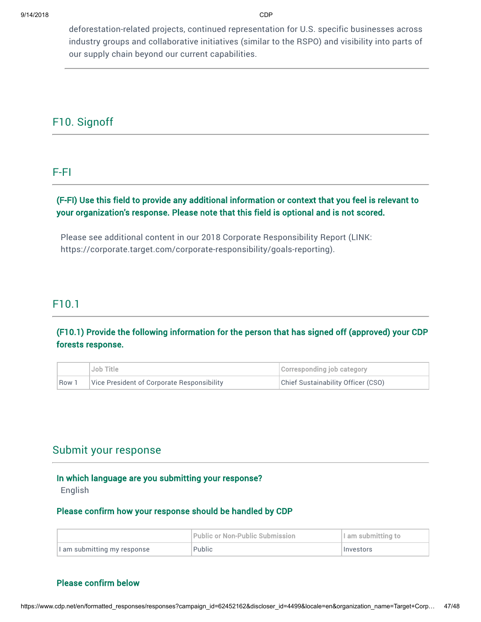deforestation-related projects, continued representation for U.S. specific businesses across industry groups and collaborative initiatives (similar to the RSPO) and visibility into parts of our supply chain beyond our current capabilities.

## F10. Signoff

## F-FI

## (F-FI) Use this field to provide any additional information or context that you feel is relevant to your organization's response. Please note that this field is optional and is not scored.

Please see additional content in our 2018 Corporate Responsibility Report (LINK: <https://corporate.target.com/corporate-responsibility/goals-reporting>).

## F10.1

## (F10.1) Provide the following information for the person that has signed off (approved) your CDP forests response.

|     | Job Title                                  | Corresponding job category         |
|-----|--------------------------------------------|------------------------------------|
| Row | Vice President of Corporate Responsibility | Chief Sustainability Officer (CSO) |

## Submit your response

### In which language are you submitting your response?

English

## Please confirm how your response should be handled by CDP

|                             | Public or Non-Public Submission | $\mathsf{I}$ am submitting to $\mathsf{I}$ |
|-----------------------------|---------------------------------|--------------------------------------------|
| I am submitting my response | Public                          | Investors                                  |

## Please confirm below